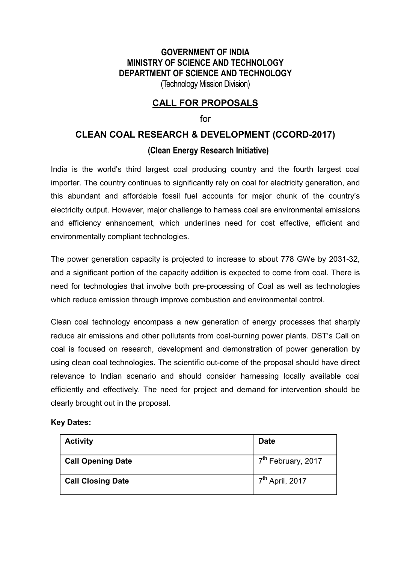## **GOVERNMENT OF INDIA MINISTRY OF SCIENCE AND TECHNOLOGY DEPARTMENT OF SCIENCE AND TECHNOLOGY**  (Technology Mission Division)

# **CALL FOR PROPOSALS**

#### for

# **CLEAN COAL RESEARCH & DEVELOPMENT (CCORD-2017) (Clean Energy Research Initiative)**

India is the world's third largest coal producing country and the fourth largest coal importer. The country continues to significantly rely on coal for electricity generation, and this abundant and affordable fossil fuel accounts for major chunk of the country's electricity output. However, major challenge to harness coal are environmental emissions and efficiency enhancement, which underlines need for cost effective, efficient and environmentally compliant technologies.

The power generation capacity is projected to increase to about 778 GWe by 2031-32, and a significant portion of the capacity addition is expected to come from coal. There is need for technologies that involve both pre-processing of Coal as well as technologies which reduce emission through improve combustion and environmental control.

Clean coal technology encompass a new generation of energy processes that sharply reduce air emissions and other pollutants from coal-burning power plants. DST's Call on coal is focused on research, development and demonstration of power generation by using clean coal technologies. The scientific out-come of the proposal should have direct relevance to Indian scenario and should consider harnessing locally available coal efficiently and effectively. The need for project and demand for intervention should be clearly brought out in the proposal.

#### **Key Dates:**

| <b>Activity</b>          | <b>Date</b>                    |
|--------------------------|--------------------------------|
| <b>Call Opening Date</b> | 7 <sup>th</sup> February, 2017 |
| <b>Call Closing Date</b> | 7 <sup>th</sup> April, 2017    |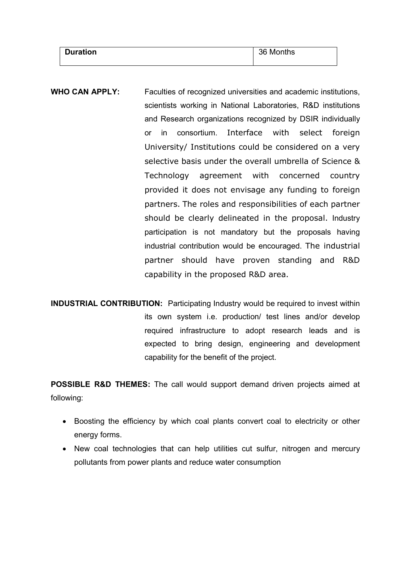| <b>Duration</b> | 36 Months |
|-----------------|-----------|
|                 |           |

- **WHO CAN APPLY:** Faculties of recognized universities and academic institutions, scientists working in National Laboratories, R&D institutions and Research organizations recognized by DSIR individually or in consortium. Interface with select foreign University/ Institutions could be considered on a very selective basis under the overall umbrella of Science & Technology agreement with concerned country provided it does not envisage any funding to foreign partners. The roles and responsibilities of each partner should be clearly delineated in the proposal. Industry participation is not mandatory but the proposals having industrial contribution would be encouraged. The industrial partner should have proven standing and R&D capability in the proposed R&D area.
- **INDUSTRIAL CONTRIBUTION:** Participating Industry would be required to invest within its own system i.e. production/ test lines and/or develop required infrastructure to adopt research leads and is expected to bring design, engineering and development capability for the benefit of the project.

**POSSIBLE R&D THEMES:** The call would support demand driven projects aimed at following:

- Boosting the efficiency by which coal plants convert coal to electricity or other energy forms.
- New coal technologies that can help utilities cut sulfur, nitrogen and mercury pollutants from power plants and reduce water consumption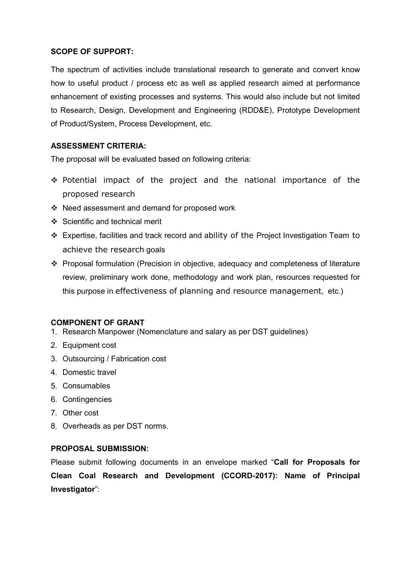## **SCOPE OF SUPPORT:**

The spectrum of activities include translational research to generate and convert know how to useful product / process etc as well as applied research aimed at performance enhancement of existing processes and systems. This would also include but not limited to Research, Design, Development and Engineering (RDD&E), Prototype Development of Product/System, Process Development, etc.

### **ASSESSMENT CRITERIA:**

The proposal will be evaluated based on following criteria:

- $\cdot$  Potential impact of the project and the national importance of the proposed research
- Need assessment and demand for proposed work
- $\div$  Scientific and technical merit
- Expertise, facilities and track record and ability of the Project Investigation Team to achieve the research goals
- Proposal formulation (Precision in objective, adequacy and completeness of literature review, preliminary work done, methodology and work plan, resources requested for this purpose in effectiveness of planning and resource management, etc.)

#### **COMPONENT OF GRANT**

- 1. Research Manpower (Nomenclature and salary as per DST guidelines)
- 2. Equipment cost
- 3. Outsourcing / Fabrication cost
- 4. Domestic travel
- 5. Consumables
- 6. Contingencies
- 7. Other cost
- 8. Overheads as per DST norms.

#### **PROPOSAL SUBMISSION:**

Please submit following documents in an envelope marked "**Call for Proposals for Clean Coal Research and Development (CCORD-2017): Name of Principal Investigator**":